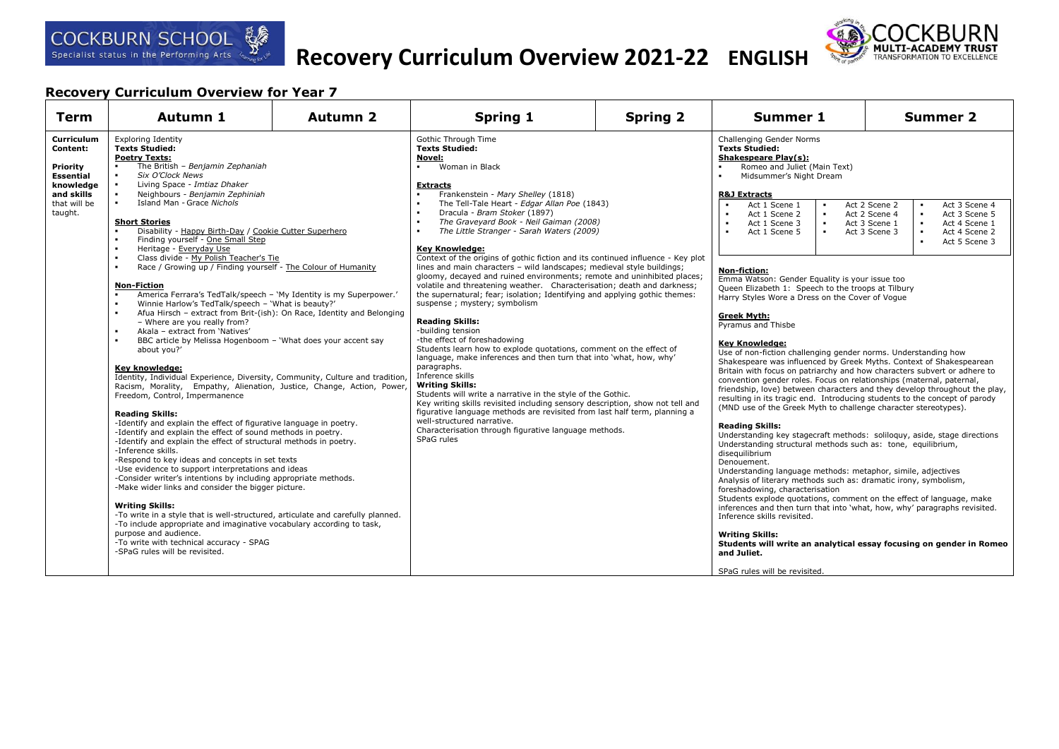

# **Recovery Curriculum Overview 2021-22 ENGLISH**



| <b>Term</b>                                                                                           | Autumn 1                                                                                                                                                                                                                                                                                                                                                                                                                                                                                                                                                                                                                                                                                                                                                                                                                                                                                                                                                                                                                                                                                                                                                                                                                                                                                                                                                                                                                                                                                                                                                                                                                                                                                                                                                                                                                                                                                                                                                                                           | Autumn 2 | <b>Spring 1</b>                                                                                                                                                                                                                                                                                                                                                                                                                                                                                                                                                                                                                                                                                                                                                                                                                                                                                                                                                                                                                                                                                                                                                                                                                                                                                                                                                                               | <b>Spring 2</b> | Summer 1                                                                                                                                                                                                                                                                                                                                                                                                                                                                                                                                                                                                                                                                                                                                                                                                                                                                                                                                                                                                                                                                                                                                                                                                                                                                                                                                                                                                                                                                                                                                                                                                                                                                                                                                                                        | Summer 2                                                                                                                                                                                                            |
|-------------------------------------------------------------------------------------------------------|----------------------------------------------------------------------------------------------------------------------------------------------------------------------------------------------------------------------------------------------------------------------------------------------------------------------------------------------------------------------------------------------------------------------------------------------------------------------------------------------------------------------------------------------------------------------------------------------------------------------------------------------------------------------------------------------------------------------------------------------------------------------------------------------------------------------------------------------------------------------------------------------------------------------------------------------------------------------------------------------------------------------------------------------------------------------------------------------------------------------------------------------------------------------------------------------------------------------------------------------------------------------------------------------------------------------------------------------------------------------------------------------------------------------------------------------------------------------------------------------------------------------------------------------------------------------------------------------------------------------------------------------------------------------------------------------------------------------------------------------------------------------------------------------------------------------------------------------------------------------------------------------------------------------------------------------------------------------------------------------------|----------|-----------------------------------------------------------------------------------------------------------------------------------------------------------------------------------------------------------------------------------------------------------------------------------------------------------------------------------------------------------------------------------------------------------------------------------------------------------------------------------------------------------------------------------------------------------------------------------------------------------------------------------------------------------------------------------------------------------------------------------------------------------------------------------------------------------------------------------------------------------------------------------------------------------------------------------------------------------------------------------------------------------------------------------------------------------------------------------------------------------------------------------------------------------------------------------------------------------------------------------------------------------------------------------------------------------------------------------------------------------------------------------------------|-----------------|---------------------------------------------------------------------------------------------------------------------------------------------------------------------------------------------------------------------------------------------------------------------------------------------------------------------------------------------------------------------------------------------------------------------------------------------------------------------------------------------------------------------------------------------------------------------------------------------------------------------------------------------------------------------------------------------------------------------------------------------------------------------------------------------------------------------------------------------------------------------------------------------------------------------------------------------------------------------------------------------------------------------------------------------------------------------------------------------------------------------------------------------------------------------------------------------------------------------------------------------------------------------------------------------------------------------------------------------------------------------------------------------------------------------------------------------------------------------------------------------------------------------------------------------------------------------------------------------------------------------------------------------------------------------------------------------------------------------------------------------------------------------------------|---------------------------------------------------------------------------------------------------------------------------------------------------------------------------------------------------------------------|
| Curriculum<br>Content:<br>Priority<br>Essential<br>knowledge<br>and skills<br>that will be<br>taught. | <b>Exploring Identity</b><br><b>Texts Studied:</b><br><b>Poetry Texts:</b><br>The British - Benjamin Zephaniah<br>Six O'Clock News<br>Living Space - Imtiaz Dhaker<br>Neighbours - Benjamin Zephiniah<br>Island Man - Grace Nichols<br><b>Short Stories</b><br>Disability - Happy Birth-Day / Cookie Cutter Superhero<br>$\blacksquare$<br>Finding yourself - One Small Step<br>Heritage - Everyday Use<br>$\blacksquare$<br>Class divide - My Polish Teacher's Tie<br>Race / Growing up / Finding yourself - The Colour of Humanity<br>$\blacksquare$<br><b>Non-Fiction</b><br>America Ferrara's TedTalk/speech - 'My Identity is my Superpower.'<br>$\blacksquare$<br>Winnie Harlow's TedTalk/speech - 'What is beauty?'<br>$\blacksquare$<br>Afua Hirsch - extract from Brit-(ish): On Race, Identity and Belonging<br>- Where are you really from?<br>Akala - extract from 'Natives'<br>$\blacksquare$<br>BBC article by Melissa Hogenboom - 'What does your accent say<br>about you?'<br>Key knowledge:<br>Identity, Individual Experience, Diversity, Community, Culture and tradition<br>Racism, Morality, Empathy, Alienation, Justice, Change, Action, Power,<br>Freedom, Control, Impermanence<br><b>Reading Skills:</b><br>-Identify and explain the effect of figurative language in poetry.<br>-Identify and explain the effect of sound methods in poetry.<br>-Identify and explain the effect of structural methods in poetry.<br>-Inference skills.<br>-Respond to key ideas and concepts in set texts<br>-Use evidence to support interpretations and ideas<br>-Consider writer's intentions by including appropriate methods.<br>-Make wider links and consider the bigger picture.<br><b>Writing Skills:</b><br>-To write in a style that is well-structured, articulate and carefully planned.<br>-To include appropriate and imaginative vocabulary according to task,<br>purpose and audience.<br>-To write with technical accuracy - SPAG<br>-SPaG rules will be revisited. |          | Gothic Through Time<br><b>Texts Studied:</b><br>Novel:<br>Woman in Black<br>. .<br><b>Extracts</b><br>Frankenstein - Mary Shelley (1818)<br>The Tell-Tale Heart - Edgar Allan Poe (1843)<br>Dracula - Bram Stoker (1897)<br>The Graveyard Book - Neil Gaiman (2008)<br>The Little Stranger - Sarah Waters (2009)<br>Key Knowledge:<br>Context of the origins of gothic fiction and its continued influence - Key plot<br>lines and main characters - wild landscapes; medieval style buildings;<br>gloomy, decayed and ruined environments; remote and uninhibited places;<br>volatile and threatening weather. Characterisation; death and darkness;<br>the supernatural; fear; isolation; Identifying and applying gothic themes:<br>suspense; mystery; symbolism<br><b>Reading Skills:</b><br>-building tension<br>-the effect of foreshadowing<br>Students learn how to explode quotations, comment on the effect of<br>language, make inferences and then turn that into 'what, how, why'<br>paragraphs.<br>Inference skills<br><b>Writing Skills:</b><br>Students will write a narrative in the style of the Gothic.<br>Key writing skills revisited including sensory description, show not tell and<br>figurative language methods are revisited from last half term, planning a<br>well-structured narrative.<br>Characterisation through figurative language methods.<br>SPaG rules |                 | Challenging Gender Norms<br><b>Texts Studied:</b><br>Shakespeare Play(s):<br>Romeo and Juliet (Main Text)<br>Midsummer's Night Dream<br><b>R&amp;J Extracts</b><br>Act 1 Scene 1<br>$\sim$<br>Act 1 Scene 2<br>$\sim$<br>Act 1 Scene 3<br>$\sim$<br>$\bullet$ .<br>Act 1 Scene 5<br>Non-fiction:<br>Emma Watson: Gender Equality is your issue too<br>Queen Elizabeth 1: Speech to the troops at Tilbury<br>Harry Styles Wore a Dress on the Cover of Voque<br><b>Greek Myth:</b><br>Pyramus and Thisbe<br><b>Kev Knowledge:</b><br>Use of non-fiction challenging gender norms. Understanding how<br>Shakespeare was influenced by Greek Myths. Context of Shakespearean<br>Britain with focus on patriarchy and how characters subvert or adhere to<br>convention gender roles. Focus on relationships (maternal, paternal,<br>friendship, love) between characters and they develop throughout the play,<br>resulting in its tragic end. Introducing students to the concept of parody<br>(MND use of the Greek Myth to challenge character stereotypes).<br><b>Reading Skills:</b><br>Understanding key stagecraft methods: soliloguy, aside, stage directions<br>Understanding structural methods such as: tone, equilibrium,<br>disequilibrium<br>Denouement.<br>Understanding language methods: metaphor, simile, adjectives<br>Analysis of literary methods such as: dramatic irony, symbolism,<br>foreshadowing, characterisation<br>Students explode quotations, comment on the effect of language, make<br>inferences and then turn that into 'what, how, why' paragraphs revisited.<br>Inference skills revisited.<br><b>Writing Skills:</b><br>Students will write an analytical essay focusing on gender in Romeo<br>and Juliet.<br>SPaG rules will be revisited. | Act 2 Scene 2<br>Act 3 Scene 4<br>Act 2 Scene 4<br>Act 3 Scene 5<br>$\bullet$<br>Act 3 Scene 1<br>Act 4 Scene 1<br>$\blacksquare$<br>Act 3 Scene 3<br>Act 4 Scene 2<br>$\bullet$<br>Act 5 Scene 3<br>$\blacksquare$ |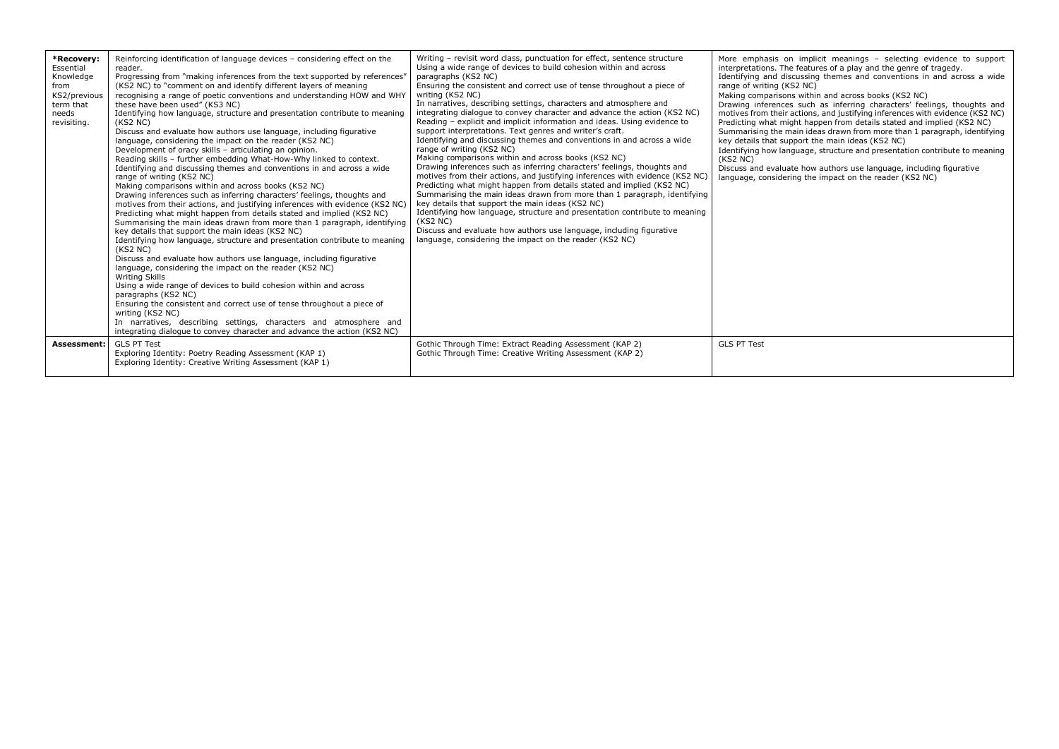| *Recovery:<br>Essential<br>Knowledge<br>from<br>KS2/previous<br>term that<br>needs<br>revisiting. | Reinforcing identification of language devices - considering effect on the<br>reader.<br>Progressing from "making inferences from the text supported by references"<br>(KS2 NC) to "comment on and identify different layers of meaning<br>recognising a range of poetic conventions and understanding HOW and WHY<br>these have been used" (KS3 NC)<br>Identifying how language, structure and presentation contribute to meaning<br>(KS2 NC)<br>Discuss and evaluate how authors use language, including figurative<br>language, considering the impact on the reader (KS2 NC)<br>Development of oracy skills - articulating an opinion.<br>Reading skills - further embedding What-How-Why linked to context.<br>Identifying and discussing themes and conventions in and across a wide<br>range of writing (KS2 NC)<br>Making comparisons within and across books (KS2 NC)<br>Drawing inferences such as inferring characters' feelings, thoughts and<br>motives from their actions, and justifying inferences with evidence (KS2 NC)<br>Predicting what might happen from details stated and implied (KS2 NC)<br>Summarising the main ideas drawn from more than 1 paragraph, identifying<br>key details that support the main ideas (KS2 NC)<br>Identifying how language, structure and presentation contribute to meaning<br>(KS2 NC)<br>Discuss and evaluate how authors use language, including figurative<br>language, considering the impact on the reader (KS2 NC)<br>Writing Skills<br>Using a wide range of devices to build cohesion within and across<br>paragraphs (KS2 NC)<br>Ensuring the consistent and correct use of tense throughout a piece of<br>writing (KS2 NC)<br>In narratives, describing settings, characters and atmosphere and<br>integrating dialogue to convey character and advance the action (KS2 NC) | Writing - revisit word class, punctuation for effect, sentence structure<br>Using a wide range of devices to build cohesion within and across<br>paragraphs (KS2 NC)<br>Ensuring the consistent and correct use of tense throughout a piece of<br>writing (KS2 NC)<br>In narratives, describing settings, characters and atmosphere and<br>integrating dialogue to convey character and advance the action (KS2 NC)<br>Reading - explicit and implicit information and ideas. Using evidence to<br>support interpretations. Text genres and writer's craft.<br>Identifying and discussing themes and conventions in and across a wide<br>range of writing (KS2 NC)<br>Making comparisons within and across books (KS2 NC)<br>Drawing inferences such as inferring characters' feelings, thoughts and<br>motives from their actions, and justifying inferences with evidence (KS2 NC)<br>Predicting what might happen from details stated and implied (KS2 NC)<br>Summarising the main ideas drawn from more than 1 paragraph, identifying<br>key details that support the main ideas (KS2 NC)<br>Identifying how language, structure and presentation contribute to meaning<br>(KS2 NC)<br>Discuss and evaluate how authors use language, including figurative<br>language, considering the impact on the reader (KS2 NC) | More emphasis on implicit meanings - selecting evidence to support<br>interpretations. The features of a play and the genre of tragedy.<br>Identifying and discussing themes and conventions in and across a wide<br>range of writing (KS2 NC)<br>Making comparisons within and across books (KS2 NC)<br>Drawing inferences such as inferring characters' feelings, thoughts and<br>motives from their actions, and justifying inferences with evidence (KS2 NC)<br>Predicting what might happen from details stated and implied (KS2 NC)<br>Summarising the main ideas drawn from more than 1 paragraph, identifying<br>key details that support the main ideas (KS2 NC)<br>Identifying how language, structure and presentation contribute to meaning<br>(KS2 NC)<br>Discuss and evaluate how authors use language, including figurative<br>language, considering the impact on the reader (KS2 NC) |
|---------------------------------------------------------------------------------------------------|---------------------------------------------------------------------------------------------------------------------------------------------------------------------------------------------------------------------------------------------------------------------------------------------------------------------------------------------------------------------------------------------------------------------------------------------------------------------------------------------------------------------------------------------------------------------------------------------------------------------------------------------------------------------------------------------------------------------------------------------------------------------------------------------------------------------------------------------------------------------------------------------------------------------------------------------------------------------------------------------------------------------------------------------------------------------------------------------------------------------------------------------------------------------------------------------------------------------------------------------------------------------------------------------------------------------------------------------------------------------------------------------------------------------------------------------------------------------------------------------------------------------------------------------------------------------------------------------------------------------------------------------------------------------------------------------------------------------------------------------------------------------------------------------------------------------------------------------|---------------------------------------------------------------------------------------------------------------------------------------------------------------------------------------------------------------------------------------------------------------------------------------------------------------------------------------------------------------------------------------------------------------------------------------------------------------------------------------------------------------------------------------------------------------------------------------------------------------------------------------------------------------------------------------------------------------------------------------------------------------------------------------------------------------------------------------------------------------------------------------------------------------------------------------------------------------------------------------------------------------------------------------------------------------------------------------------------------------------------------------------------------------------------------------------------------------------------------------------------------------------------------------------------------------------------|-------------------------------------------------------------------------------------------------------------------------------------------------------------------------------------------------------------------------------------------------------------------------------------------------------------------------------------------------------------------------------------------------------------------------------------------------------------------------------------------------------------------------------------------------------------------------------------------------------------------------------------------------------------------------------------------------------------------------------------------------------------------------------------------------------------------------------------------------------------------------------------------------------|
| Assessment:                                                                                       | <b>GLS PT Test</b><br>Exploring Identity: Poetry Reading Assessment (KAP 1)<br>Exploring Identity: Creative Writing Assessment (KAP 1)                                                                                                                                                                                                                                                                                                                                                                                                                                                                                                                                                                                                                                                                                                                                                                                                                                                                                                                                                                                                                                                                                                                                                                                                                                                                                                                                                                                                                                                                                                                                                                                                                                                                                                      | Gothic Through Time: Extract Reading Assessment (KAP 2)<br>Gothic Through Time: Creative Writing Assessment (KAP 2)                                                                                                                                                                                                                                                                                                                                                                                                                                                                                                                                                                                                                                                                                                                                                                                                                                                                                                                                                                                                                                                                                                                                                                                                       | <b>GLS PT Test</b>                                                                                                                                                                                                                                                                                                                                                                                                                                                                                                                                                                                                                                                                                                                                                                                                                                                                                    |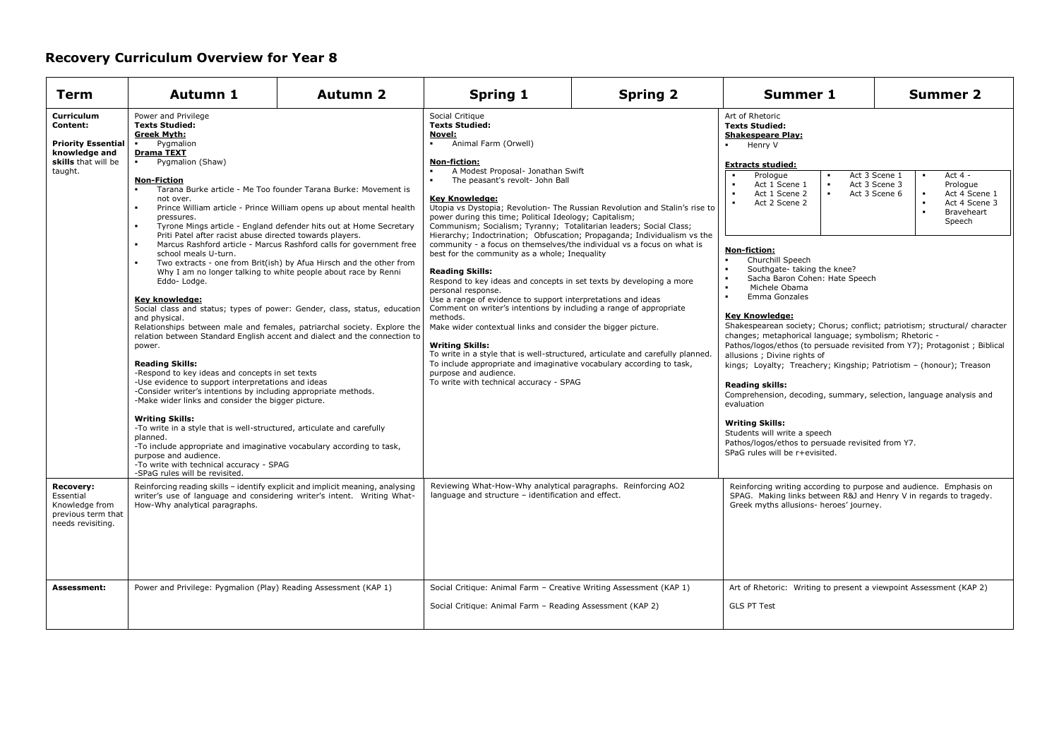| Term                                                                                                   | <b>Autumn 1</b>                                                                                                                                                                                                                                                                                                                                                                                                                                                                                                                                                                                                                                                                                                                                                                                                                                                                                                                                                                                                                                                                                                                                                                                                                                                                                                                                                                                                                                                                                                                                                                                                       | <b>Autumn 2</b> | <b>Spring 1</b>                                                                                                                                                                                                                                                                                                                                                                                                                                                                                                                                                                                                                                                                                                                                                                                                                                                                                                                                                                                                                                                                                                                                                                                                     | <b>Spring 2</b> | <b>Summer 1</b>                                                                                                                                                                                                                                                                                                                                                                                                                                                                                                                                                                                                                                                                                                                                                                                                                                                                                                                                                                                                                                                                                                                                                                                                        | <b>Summer 2</b> |  |
|--------------------------------------------------------------------------------------------------------|-----------------------------------------------------------------------------------------------------------------------------------------------------------------------------------------------------------------------------------------------------------------------------------------------------------------------------------------------------------------------------------------------------------------------------------------------------------------------------------------------------------------------------------------------------------------------------------------------------------------------------------------------------------------------------------------------------------------------------------------------------------------------------------------------------------------------------------------------------------------------------------------------------------------------------------------------------------------------------------------------------------------------------------------------------------------------------------------------------------------------------------------------------------------------------------------------------------------------------------------------------------------------------------------------------------------------------------------------------------------------------------------------------------------------------------------------------------------------------------------------------------------------------------------------------------------------------------------------------------------------|-----------------|---------------------------------------------------------------------------------------------------------------------------------------------------------------------------------------------------------------------------------------------------------------------------------------------------------------------------------------------------------------------------------------------------------------------------------------------------------------------------------------------------------------------------------------------------------------------------------------------------------------------------------------------------------------------------------------------------------------------------------------------------------------------------------------------------------------------------------------------------------------------------------------------------------------------------------------------------------------------------------------------------------------------------------------------------------------------------------------------------------------------------------------------------------------------------------------------------------------------|-----------------|------------------------------------------------------------------------------------------------------------------------------------------------------------------------------------------------------------------------------------------------------------------------------------------------------------------------------------------------------------------------------------------------------------------------------------------------------------------------------------------------------------------------------------------------------------------------------------------------------------------------------------------------------------------------------------------------------------------------------------------------------------------------------------------------------------------------------------------------------------------------------------------------------------------------------------------------------------------------------------------------------------------------------------------------------------------------------------------------------------------------------------------------------------------------------------------------------------------------|-----------------|--|
| Curriculum<br>Content:<br><b>Priority Essential</b><br>knowledge and<br>skills that will be<br>taught. | Power and Privilege<br><b>Texts Studied:</b><br><b>Greek Myth:</b><br>Pygmalion<br><b>Drama TEXT</b><br>Pygmalion (Shaw)<br>$\blacksquare$<br><b>Non-Fiction</b><br>Tarana Burke article - Me Too founder Tarana Burke: Movement is<br>$\blacksquare$<br>not over.<br>$\blacksquare$<br>Prince William article - Prince William opens up about mental health<br>pressures.<br>Tyrone Mings article - England defender hits out at Home Secretary<br>$\blacksquare$<br>Priti Patel after racist abuse directed towards players.<br>Marcus Rashford article - Marcus Rashford calls for government free<br>$\blacksquare$<br>school meals U-turn.<br>Two extracts - one from Brit(ish) by Afua Hirsch and the other from<br>Why I am no longer talking to white people about race by Renni<br>Eddo-Lodge.<br>Key knowledge:<br>Social class and status; types of power: Gender, class, status, education<br>and physical.<br>Relationships between male and females, patriarchal society. Explore the<br>relation between Standard English accent and dialect and the connection to<br>power.<br><b>Reading Skills:</b><br>-Respond to key ideas and concepts in set texts<br>-Use evidence to support interpretations and ideas<br>-Consider writer's intentions by including appropriate methods.<br>-Make wider links and consider the bigger picture.<br><b>Writing Skills:</b><br>-To write in a style that is well-structured, articulate and carefully<br>planned.<br>-To include appropriate and imaginative vocabulary according to task,<br>purpose and audience.<br>-To write with technical accuracy - SPAG |                 | Social Critique<br><b>Texts Studied:</b><br>Novel:<br>Animal Farm (Orwell)<br>Non-fiction:<br>A Modest Proposal- Jonathan Swift<br>The peasant's revolt- John Ball<br><b>Key Knowledge:</b><br>Utopia vs Dystopia; Revolution- The Russian Revolution and Stalin's rise to<br>power during this time; Political Ideology; Capitalism;<br>Communism; Socialism; Tyranny; Totalitarian leaders; Social Class;<br>Hierarchy; Indoctrination; Obfuscation; Propaganda; Individualism vs the<br>community - a focus on themselves/the individual vs a focus on what is<br>best for the community as a whole; Inequality<br><b>Reading Skills:</b><br>Respond to key ideas and concepts in set texts by developing a more<br>personal response.<br>Use a range of evidence to support interpretations and ideas<br>Comment on writer's intentions by including a range of appropriate<br>methods.<br>Make wider contextual links and consider the bigger picture.<br><b>Writing Skills:</b><br>To write in a style that is well-structured, articulate and carefully planned.<br>To include appropriate and imaginative vocabulary according to task,<br>purpose and audience.<br>To write with technical accuracy - SPAG |                 | <b>Texts Studied:</b><br><b>Shakespeare Play:</b><br>Henry V<br><b>Extracts studied:</b><br>Act 3 Scene 1<br>Act $4 -$<br>Prologue<br>$\mathbf{r}$<br>Act 1 Scene 1<br>$\bullet$<br>Act 3 Scene 3<br>Prologue<br>$\blacksquare$<br>$\bullet$<br>Act 1 Scene 2<br>Act 3 Scene 6<br>Act 4 Scene 1<br>$\blacksquare$<br>Act 4 Scene 3<br>Act 2 Scene 2<br>$\blacksquare$<br>Braveheart<br>$\blacksquare$<br>Speech<br>Non-fiction:<br>Churchill Speech<br>Southgate-taking the knee?<br>$\blacksquare$<br>Sacha Baron Cohen: Hate Speech<br>$\blacksquare$<br>Michele Obama<br>Emma Gonzales<br>$\blacksquare$<br>Key Knowledge:<br>Shakespearean society; Chorus; conflict; patriotism; structural/ character<br>changes; metaphorical language; symbolism; Rhetoric -<br>Pathos/logos/ethos (to persuade revisited from Y7); Protagonist; Biblical<br>allusions; Divine rights of<br>kings; Loyalty; Treachery; Kingship; Patriotism - (honour); Treason<br><b>Reading skills:</b><br>Comprehension, decoding, summary, selection, language analysis and<br>evaluation<br><b>Writing Skills:</b><br>Students will write a speech<br>Pathos/logos/ethos to persuade revisited from Y7.<br>SPaG rules will be r+evisited. |                 |  |
| Recovery:<br>Essential<br>Knowledge from<br>previous term that<br>needs revisiting.                    | Reinforcing reading skills - identify explicit and implicit meaning, analysing<br>writer's use of language and considering writer's intent. Writing What-<br>How-Why analytical paragraphs.                                                                                                                                                                                                                                                                                                                                                                                                                                                                                                                                                                                                                                                                                                                                                                                                                                                                                                                                                                                                                                                                                                                                                                                                                                                                                                                                                                                                                           |                 | Reviewing What-How-Why analytical paragraphs. Reinforcing AO2<br>language and structure - identification and effect.                                                                                                                                                                                                                                                                                                                                                                                                                                                                                                                                                                                                                                                                                                                                                                                                                                                                                                                                                                                                                                                                                                |                 | Reinforcing writing according to purpose and audience. Emphasis on<br>SPAG. Making links between R&J and Henry V in regards to tragedy.<br>Greek myths allusions- heroes' journey.                                                                                                                                                                                                                                                                                                                                                                                                                                                                                                                                                                                                                                                                                                                                                                                                                                                                                                                                                                                                                                     |                 |  |
| Assessment:                                                                                            | Power and Privilege: Pygmalion (Play) Reading Assessment (KAP 1)                                                                                                                                                                                                                                                                                                                                                                                                                                                                                                                                                                                                                                                                                                                                                                                                                                                                                                                                                                                                                                                                                                                                                                                                                                                                                                                                                                                                                                                                                                                                                      |                 | Social Critique: Animal Farm - Creative Writing Assessment (KAP 1)<br>Social Critique: Animal Farm - Reading Assessment (KAP 2)                                                                                                                                                                                                                                                                                                                                                                                                                                                                                                                                                                                                                                                                                                                                                                                                                                                                                                                                                                                                                                                                                     |                 | Art of Rhetoric: Writing to present a viewpoint Assessment (KAP 2)<br><b>GLS PT Test</b>                                                                                                                                                                                                                                                                                                                                                                                                                                                                                                                                                                                                                                                                                                                                                                                                                                                                                                                                                                                                                                                                                                                               |                 |  |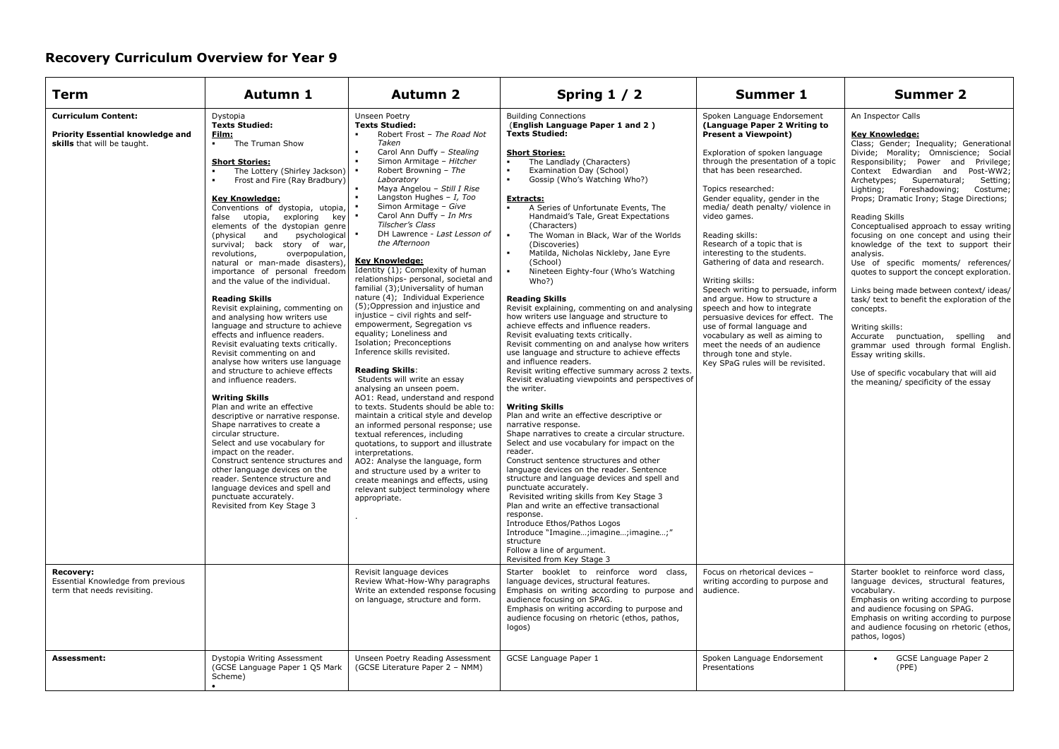| <b>Term</b>                                                                                   | Autumn 1                                                                                                                                                                                                                                                                                                                                                                                                                                                                                                                                                                                                                                                                                                                                                                                                                                                                                                                                                                                                                                                                                                                                                                                                                                                                  | <b>Autumn 2</b>                                                                                                                                                                                                                                                                                                                                                                                                                                                                                                                                                                                                                                                                                                                                                                                                                                                                                                                                                                                                                                                                                                                                                                                                                                                                                                                                                           | Spring 1 / 2                                                                                                                                                                                                                                                                                                                                                                                                                                                                                                                                                                                                                                                                                                                                                                                                                                                                                                                                                                                                                                                                                                                                                                                                                                                                                                                                                                                                                                                                                                                                                                                                                                             | <b>Summer 1</b>                                                                                                                                                                                                                                                                                                                                                                                                                                                                                                                                                                                                                                                                                                                                                     | <b>Summer 2</b>                                                                                                                                                                                                                                                                                                                                                                                                                                                                                                                                                                                                                                                                                                                                                                                                                                                                                                       |
|-----------------------------------------------------------------------------------------------|---------------------------------------------------------------------------------------------------------------------------------------------------------------------------------------------------------------------------------------------------------------------------------------------------------------------------------------------------------------------------------------------------------------------------------------------------------------------------------------------------------------------------------------------------------------------------------------------------------------------------------------------------------------------------------------------------------------------------------------------------------------------------------------------------------------------------------------------------------------------------------------------------------------------------------------------------------------------------------------------------------------------------------------------------------------------------------------------------------------------------------------------------------------------------------------------------------------------------------------------------------------------------|---------------------------------------------------------------------------------------------------------------------------------------------------------------------------------------------------------------------------------------------------------------------------------------------------------------------------------------------------------------------------------------------------------------------------------------------------------------------------------------------------------------------------------------------------------------------------------------------------------------------------------------------------------------------------------------------------------------------------------------------------------------------------------------------------------------------------------------------------------------------------------------------------------------------------------------------------------------------------------------------------------------------------------------------------------------------------------------------------------------------------------------------------------------------------------------------------------------------------------------------------------------------------------------------------------------------------------------------------------------------------|----------------------------------------------------------------------------------------------------------------------------------------------------------------------------------------------------------------------------------------------------------------------------------------------------------------------------------------------------------------------------------------------------------------------------------------------------------------------------------------------------------------------------------------------------------------------------------------------------------------------------------------------------------------------------------------------------------------------------------------------------------------------------------------------------------------------------------------------------------------------------------------------------------------------------------------------------------------------------------------------------------------------------------------------------------------------------------------------------------------------------------------------------------------------------------------------------------------------------------------------------------------------------------------------------------------------------------------------------------------------------------------------------------------------------------------------------------------------------------------------------------------------------------------------------------------------------------------------------------------------------------------------------------|---------------------------------------------------------------------------------------------------------------------------------------------------------------------------------------------------------------------------------------------------------------------------------------------------------------------------------------------------------------------------------------------------------------------------------------------------------------------------------------------------------------------------------------------------------------------------------------------------------------------------------------------------------------------------------------------------------------------------------------------------------------------|-----------------------------------------------------------------------------------------------------------------------------------------------------------------------------------------------------------------------------------------------------------------------------------------------------------------------------------------------------------------------------------------------------------------------------------------------------------------------------------------------------------------------------------------------------------------------------------------------------------------------------------------------------------------------------------------------------------------------------------------------------------------------------------------------------------------------------------------------------------------------------------------------------------------------|
| <b>Curriculum Content:</b><br>Priority Essential knowledge and<br>skills that will be taught. | Dystopia<br><b>Texts Studied:</b><br><u>Film:</u><br>The Truman Show<br><b>Short Stories:</b><br>The Lottery (Shirley Jackson)<br>Frost and Fire (Ray Bradbury)<br><b>Key Knowledge:</b><br>Conventions of dystopia, utopia,<br>false utopia, exploring<br>key<br>elements of the dystopian genre<br>(physical and psychological<br>survival; back story of war,<br>revolutions,<br>overpopulation,<br>natural or man-made disasters),<br>importance of personal freedom<br>and the value of the individual.<br><b>Reading Skills</b><br>Revisit explaining, commenting on<br>and analysing how writers use<br>language and structure to achieve<br>effects and influence readers.<br>Revisit evaluating texts critically.<br>Revisit commenting on and<br>analyse how writers use language<br>and structure to achieve effects<br>and influence readers.<br><b>Writing Skills</b><br>Plan and write an effective<br>descriptive or narrative response.<br>Shape narratives to create a<br>circular structure.<br>Select and use vocabulary for<br>impact on the reader.<br>Construct sentence structures and<br>other language devices on the<br>reader. Sentence structure and<br>language devices and spell and<br>punctuate accurately.<br>Revisited from Key Stage 3 | <b>Unseen Poetry</b><br><b>Texts Studied:</b><br>Robert Frost - The Road Not<br>Taken<br>Carol Ann Duffy - Stealing<br>Simon Armitage - Hitcher<br>$\blacksquare$<br>$\blacksquare$<br>Robert Browning - The<br>Laboratory<br>Maya Angelou - Still I Rise<br>Langston Hughes - $I$ , Too<br>Simon Armitage - Give<br>$\blacksquare$<br>Carol Ann Duffy - In Mrs<br>$\bullet$<br>Tilscher's Class<br>DH Lawrence - Last Lesson of<br>$\bullet$<br>the Afternoon<br><b>Key Knowledge:</b><br>Identity (1); Complexity of human<br>relationships- personal, societal and<br>familial (3); Universality of human<br>nature (4); Individual Experience<br>(5); Oppression and injustice and<br>injustice - civil rights and self-<br>empowerment, Segregation vs<br>equality; Loneliness and<br>Isolation; Preconceptions<br>Inference skills revisited.<br><b>Reading Skills:</b><br>Students will write an essay<br>analysing an unseen poem.<br>AO1: Read, understand and respond<br>to texts. Students should be able to:<br>maintain a critical style and develop<br>an informed personal response; use<br>textual references, including<br>quotations, to support and illustrate<br>interpretations.<br>AO2: Analyse the language, form<br>and structure used by a writer to<br>create meanings and effects, using<br>relevant subject terminology where<br>appropriate. | <b>Building Connections</b><br>(English Language Paper 1 and 2)<br><b>Texts Studied:</b><br><b>Short Stories:</b><br>The Landlady (Characters)<br>$\blacksquare$<br>Examination Day (School)<br>$\blacksquare$<br>Gossip (Who's Watching Who?)<br><b>Extracts:</b><br>A Series of Unfortunate Events, The<br>Handmaid's Tale, Great Expectations<br>(Characters)<br>$\blacksquare$<br>The Woman in Black, War of the Worlds<br>(Discoveries)<br>Matilda, Nicholas Nickleby, Jane Eyre<br>(School)<br>Nineteen Eighty-four (Who's Watching<br>Who?)<br><b>Reading Skills</b><br>Revisit explaining, commenting on and analysing<br>how writers use language and structure to<br>achieve effects and influence readers.<br>Revisit evaluating texts critically.<br>Revisit commenting on and analyse how writers<br>use language and structure to achieve effects<br>and influence readers.<br>Revisit writing effective summary across 2 texts.<br>Revisit evaluating viewpoints and perspectives of<br>the writer.<br><b>Writing Skills</b><br>Plan and write an effective descriptive or<br>narrative response.<br>Shape narratives to create a circular structure.<br>Select and use vocabulary for impact on the<br>reader.<br>Construct sentence structures and other<br>language devices on the reader. Sentence<br>structure and language devices and spell and<br>punctuate accurately.<br>Revisited writing skills from Key Stage 3<br>Plan and write an effective transactional<br>response.<br>Introduce Ethos/Pathos Logos<br>Introduce "Imagine; imagine; imagine;"<br>structure<br>Follow a line of argument.<br>Revisited from Key Stage 3 | Spoken Language Endorsement<br>(Language Paper 2 Writing to<br><b>Present a Viewpoint)</b><br>Exploration of spoken language<br>through the presentation of a topic<br>that has been researched.<br>Topics researched:<br>Gender equality, gender in the<br>media/ death penalty/ violence in<br>video games.<br>Reading skills:<br>Research of a topic that is<br>interesting to the students.<br>Gathering of data and research.<br>Writing skills:<br>Speech writing to persuade, inform<br>and arque. How to structure a<br>speech and how to integrate<br>persuasive devices for effect. The<br>use of formal language and<br>vocabulary as well as aiming to<br>meet the needs of an audience<br>through tone and style.<br>Key SPaG rules will be revisited. | An Inspector Calls<br><b>Key Knowledge:</b><br>Class; Gender; Inequality; Generational<br>Divide; Morality; Omniscience; Social<br>Responsibility; Power and Privilege;<br>Context Edwardian and Post-WW2;<br>Archetypes; Supernatural;<br>Setting;<br>Lighting; Foreshadowing;<br>Costume;<br>Props; Dramatic Irony; Stage Directions;<br>Reading Skills<br>Conceptualised approach to essay writing<br>focusing on one concept and using their<br>knowledge of the text to support their<br>analysis.<br>Use of specific moments/ references/<br>quotes to support the concept exploration.<br>Links being made between context/ ideas/<br>task/ text to benefit the exploration of the<br>concepts.<br>Writing skills:<br>Accurate punctuation, spelling and<br>grammar used through formal English.<br>Essay writing skills.<br>Use of specific vocabulary that will aid<br>the meaning/ specificity of the essay |
| <b>Recovery:</b><br>Essential Knowledge from previous<br>term that needs revisiting.          |                                                                                                                                                                                                                                                                                                                                                                                                                                                                                                                                                                                                                                                                                                                                                                                                                                                                                                                                                                                                                                                                                                                                                                                                                                                                           | Revisit language devices<br>Review What-How-Why paragraphs<br>Write an extended response focusing<br>on language, structure and form.                                                                                                                                                                                                                                                                                                                                                                                                                                                                                                                                                                                                                                                                                                                                                                                                                                                                                                                                                                                                                                                                                                                                                                                                                                     | Starter booklet to reinforce word class,<br>language devices, structural features.<br>Emphasis on writing according to purpose and<br>audience focusing on SPAG.<br>Emphasis on writing according to purpose and<br>audience focusing on rhetoric (ethos, pathos,<br>logos)                                                                                                                                                                                                                                                                                                                                                                                                                                                                                                                                                                                                                                                                                                                                                                                                                                                                                                                                                                                                                                                                                                                                                                                                                                                                                                                                                                              | Focus on rhetorical devices -<br>writing according to purpose and<br>audience.                                                                                                                                                                                                                                                                                                                                                                                                                                                                                                                                                                                                                                                                                      | Starter booklet to reinforce word class,<br>language devices, structural features,<br>vocabularv.<br>Emphasis on writing according to purpose<br>and audience focusing on SPAG.<br>Emphasis on writing according to purpose<br>and audience focusing on rhetoric (ethos,<br>pathos, logos)                                                                                                                                                                                                                                                                                                                                                                                                                                                                                                                                                                                                                            |
| Assessment:                                                                                   | Dystopia Writing Assessment<br>(GCSE Language Paper 1 Q5 Mark<br>Scheme)                                                                                                                                                                                                                                                                                                                                                                                                                                                                                                                                                                                                                                                                                                                                                                                                                                                                                                                                                                                                                                                                                                                                                                                                  | Unseen Poetry Reading Assessment<br>(GCSE Literature Paper 2 - NMM)                                                                                                                                                                                                                                                                                                                                                                                                                                                                                                                                                                                                                                                                                                                                                                                                                                                                                                                                                                                                                                                                                                                                                                                                                                                                                                       | GCSE Language Paper 1                                                                                                                                                                                                                                                                                                                                                                                                                                                                                                                                                                                                                                                                                                                                                                                                                                                                                                                                                                                                                                                                                                                                                                                                                                                                                                                                                                                                                                                                                                                                                                                                                                    | Spoken Language Endorsement<br>Presentations                                                                                                                                                                                                                                                                                                                                                                                                                                                                                                                                                                                                                                                                                                                        | GCSE Language Paper 2<br>(PPE)                                                                                                                                                                                                                                                                                                                                                                                                                                                                                                                                                                                                                                                                                                                                                                                                                                                                                        |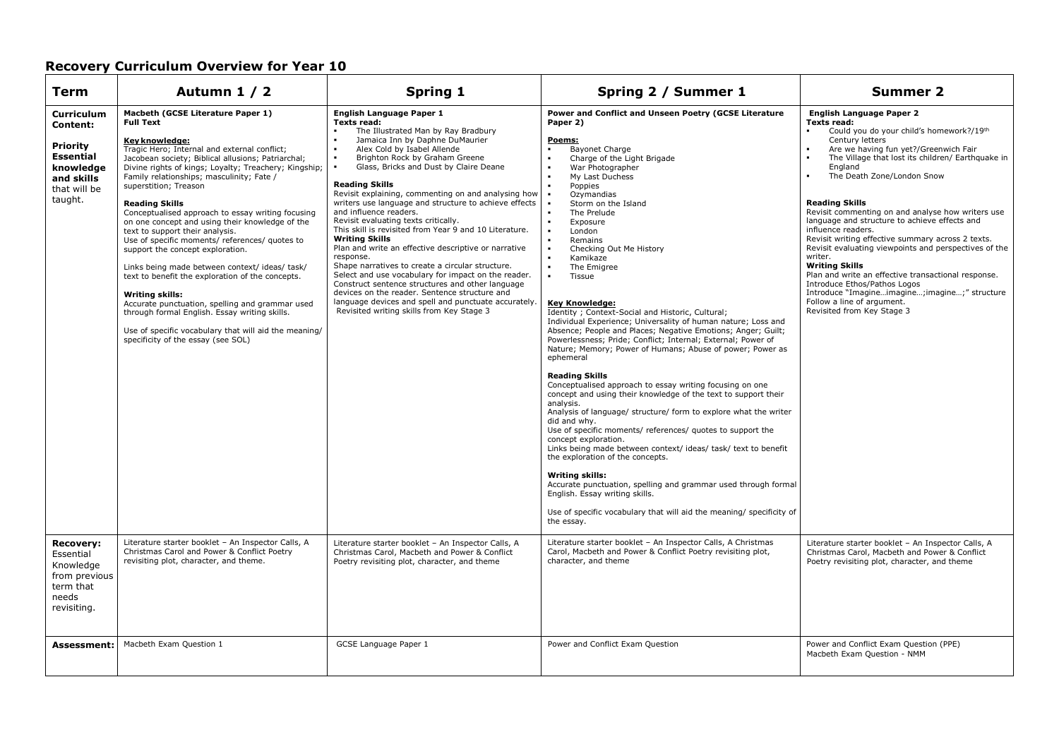| <b>Term</b>                                                                                                                       | Autumn 1 / 2                                                                                                                                                                                                                                                                                                                                                                                                                                                                                                                                                                                                                                                                                                                                                                                                                                                                                            | <b>Spring 1</b>                                                                                                                                                                                                                                                                                                                                                                                                                                                                                                                                                                                                                                                                                                                                                                                                                                                                                                                                                       | Spring 2 / Summer 1                                                                                                                                                                                                                                                                                                                                                                                                                                                                                                                                                                                                                                                                                                                                                                                                                                                                                                                                                                                                                                                                                                                                                                                                                                                                                                                                                                                                                | <b>Summer 2</b>                                                                                                                                                                                                                                                                                                                                                                                                                                                                                                                                                                                                                                                                                                                                                                                                |
|-----------------------------------------------------------------------------------------------------------------------------------|---------------------------------------------------------------------------------------------------------------------------------------------------------------------------------------------------------------------------------------------------------------------------------------------------------------------------------------------------------------------------------------------------------------------------------------------------------------------------------------------------------------------------------------------------------------------------------------------------------------------------------------------------------------------------------------------------------------------------------------------------------------------------------------------------------------------------------------------------------------------------------------------------------|-----------------------------------------------------------------------------------------------------------------------------------------------------------------------------------------------------------------------------------------------------------------------------------------------------------------------------------------------------------------------------------------------------------------------------------------------------------------------------------------------------------------------------------------------------------------------------------------------------------------------------------------------------------------------------------------------------------------------------------------------------------------------------------------------------------------------------------------------------------------------------------------------------------------------------------------------------------------------|------------------------------------------------------------------------------------------------------------------------------------------------------------------------------------------------------------------------------------------------------------------------------------------------------------------------------------------------------------------------------------------------------------------------------------------------------------------------------------------------------------------------------------------------------------------------------------------------------------------------------------------------------------------------------------------------------------------------------------------------------------------------------------------------------------------------------------------------------------------------------------------------------------------------------------------------------------------------------------------------------------------------------------------------------------------------------------------------------------------------------------------------------------------------------------------------------------------------------------------------------------------------------------------------------------------------------------------------------------------------------------------------------------------------------------|----------------------------------------------------------------------------------------------------------------------------------------------------------------------------------------------------------------------------------------------------------------------------------------------------------------------------------------------------------------------------------------------------------------------------------------------------------------------------------------------------------------------------------------------------------------------------------------------------------------------------------------------------------------------------------------------------------------------------------------------------------------------------------------------------------------|
| <b>Curriculum</b><br><b>Content:</b><br><b>Priority</b><br><b>Essential</b><br>knowledge<br>and skills<br>that will be<br>taught. | Macbeth (GCSE Literature Paper 1)<br><b>Full Text</b><br>Key knowledge:<br>Tragic Hero; Internal and external conflict;<br>Jacobean society: Biblical allusions: Patriarchal:<br>Divine rights of kings; Loyalty; Treachery; Kingship;<br>Family relationships; masculinity; Fate /<br>superstition; Treason<br><b>Reading Skills</b><br>Conceptualised approach to essay writing focusing<br>on one concept and using their knowledge of the<br>text to support their analysis.<br>Use of specific moments/ references/ quotes to<br>support the concept exploration.<br>Links being made between context/ideas/task/<br>text to benefit the exploration of the concepts.<br><b>Writing skills:</b><br>Accurate punctuation, spelling and grammar used<br>through formal English. Essay writing skills.<br>Use of specific vocabulary that will aid the meaning/<br>specificity of the essay (see SOL) | English Language Paper 1<br>Texts read:<br>The Illustrated Man by Ray Bradbury<br>Jamaica Inn by Daphne DuMaurier<br>Alex Cold by Isabel Allende<br>$\blacksquare$<br>Brighton Rock by Graham Greene<br>$\bullet$<br>Glass, Bricks and Dust by Claire Deane<br>$\blacksquare$<br><b>Reading Skills</b><br>Revisit explaining, commenting on and analysing how<br>writers use language and structure to achieve effects<br>and influence readers.<br>Revisit evaluating texts critically.<br>This skill is revisited from Year 9 and 10 Literature.<br><b>Writing Skills</b><br>Plan and write an effective descriptive or narrative<br>response.<br>Shape narratives to create a circular structure.<br>Select and use vocabulary for impact on the reader.<br>Construct sentence structures and other language<br>devices on the reader. Sentence structure and<br>language devices and spell and punctuate accurately.<br>Revisited writing skills from Key Stage 3 | Power and Conflict and Unseen Poetry (GCSE Literature<br>Paper 2)<br>Poems:<br>Bayonet Charge<br>Charge of the Light Brigade<br>War Photographer<br>My Last Duchess<br>Poppies<br>Ozymandias<br>Storm on the Island<br>The Prelude<br>Exposure<br>$\blacksquare$<br>London<br>Remains<br>Checking Out Me History<br>$\blacksquare$<br>Kamikaze<br>$\blacksquare$<br>The Emigree<br>$\blacksquare$<br>Tissue<br><b>Key Knowledge:</b><br>Identity ; Context-Social and Historic, Cultural;<br>Individual Experience; Universality of human nature; Loss and<br>Absence; People and Places; Negative Emotions; Anger; Guilt;<br>Powerlessness; Pride; Conflict; Internal; External; Power of<br>Nature; Memory; Power of Humans; Abuse of power; Power as<br>ephemeral<br><b>Reading Skills</b><br>Conceptualised approach to essay writing focusing on one<br>concept and using their knowledge of the text to support their<br>analysis.<br>Analysis of language/ structure/ form to explore what the writer<br>did and whv.<br>Use of specific moments/ references/ quotes to support the<br>concept exploration.<br>Links being made between context/ideas/task/text to benefit<br>the exploration of the concepts.<br>Writing skills:<br>Accurate punctuation, spelling and grammar used through formal<br>English. Essay writing skills.<br>Use of specific vocabulary that will aid the meaning/ specificity of<br>the essay. | <b>English Language Paper 2</b><br>Texts read:<br>Could you do your child's homework?/19th<br>$\blacksquare$<br>Century letters<br>Are we having fun yet?/Greenwich Fair<br>$\overline{\phantom{a}}$<br>The Village that lost its children/ Earthquake in<br>England<br>The Death Zone/London Snow<br><b>Reading Skills</b><br>Revisit commenting on and analyse how writers use<br>language and structure to achieve effects and<br>influence readers.<br>Revisit writing effective summary across 2 texts.<br>Revisit evaluating viewpoints and perspectives of the<br>writer.<br><b>Writing Skills</b><br>Plan and write an effective transactional response.<br>Introduce Ethos/Pathos Logos<br>Introduce "Imagineimagine; imagine;" structure<br>Follow a line of argument.<br>Revisited from Key Stage 3 |
| <b>Recovery:</b><br>Essential<br>Knowledge<br>from previous<br>term that<br>needs<br>revisiting.                                  | Literature starter booklet - An Inspector Calls, A<br>Christmas Carol and Power & Conflict Poetry<br>revisiting plot, character, and theme.                                                                                                                                                                                                                                                                                                                                                                                                                                                                                                                                                                                                                                                                                                                                                             | Literature starter booklet - An Inspector Calls, A<br>Christmas Carol, Macbeth and Power & Conflict<br>Poetry revisiting plot, character, and theme                                                                                                                                                                                                                                                                                                                                                                                                                                                                                                                                                                                                                                                                                                                                                                                                                   | Literature starter booklet - An Inspector Calls, A Christmas<br>Carol, Macbeth and Power & Conflict Poetry revisiting plot,<br>character, and theme                                                                                                                                                                                                                                                                                                                                                                                                                                                                                                                                                                                                                                                                                                                                                                                                                                                                                                                                                                                                                                                                                                                                                                                                                                                                                | Literature starter booklet - An Inspector Calls, A<br>Christmas Carol, Macbeth and Power & Conflict<br>Poetry revisiting plot, character, and theme                                                                                                                                                                                                                                                                                                                                                                                                                                                                                                                                                                                                                                                            |
| <b>Assessment:</b>                                                                                                                | Macbeth Exam Question 1                                                                                                                                                                                                                                                                                                                                                                                                                                                                                                                                                                                                                                                                                                                                                                                                                                                                                 | GCSE Language Paper 1                                                                                                                                                                                                                                                                                                                                                                                                                                                                                                                                                                                                                                                                                                                                                                                                                                                                                                                                                 | Power and Conflict Exam Question                                                                                                                                                                                                                                                                                                                                                                                                                                                                                                                                                                                                                                                                                                                                                                                                                                                                                                                                                                                                                                                                                                                                                                                                                                                                                                                                                                                                   | Power and Conflict Exam Question (PPE)<br>Macbeth Exam Question - NMM                                                                                                                                                                                                                                                                                                                                                                                                                                                                                                                                                                                                                                                                                                                                          |